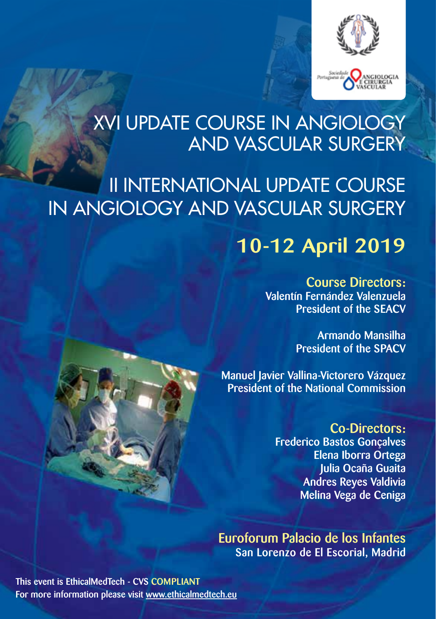

# II INTERNATIONAL UPDATE COURSE IN ANGIOLOGY AND VASCULAR SURGERY

# 10-12 April 2019

Course Directors: Valentín Fernández Valenzuela President of the SEACV

> Armando Mansilha President of the SPACV

Manuel Javier Vallina-Victorero Vázquez President of the National Commission

## Co-Directors:

Frederico Bastos Gonçalves Elena Iborra Ortega Julia Ocaña Guaita Andres Reyes Valdivia Melina Vega de Ceniga

Euroforum Palacio de los Infantes San Lorenzo de El Escorial, Madrid

This event is EthicalMedTech - CVS COMPLIANT For more information please visit www.ethicalmedtech.eu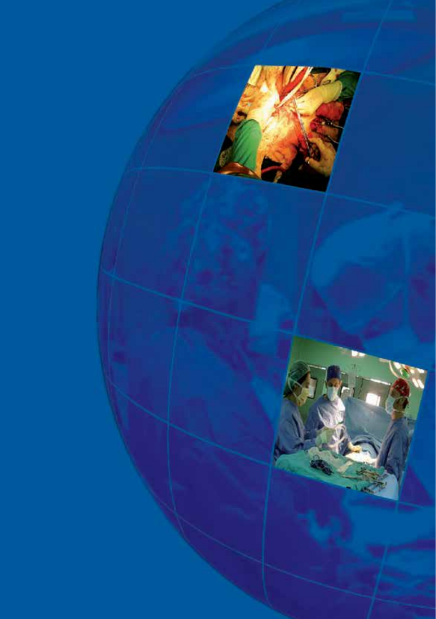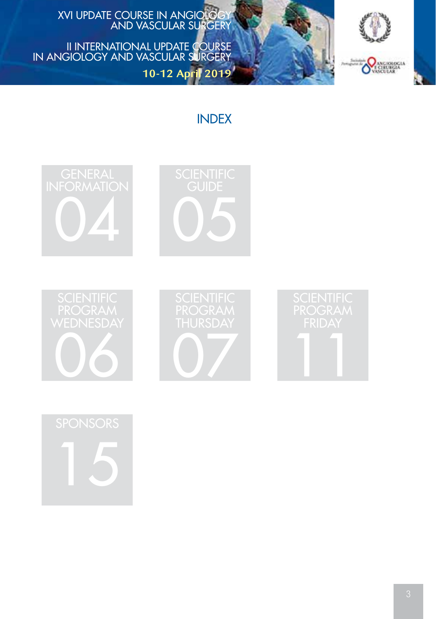

II INTERNATIONAL UPDATE COURSE IN ANGIOLOGY AND VASCULAR SURGERY 10-12 April 2019

# **INDEX**











15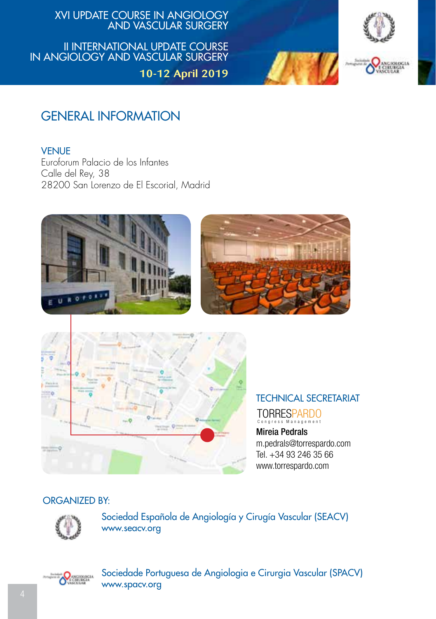II INTERNATIONAL UPDATE COURSE IN ANGIOLOGY AND VASCULAR SURGERY

10-12 April 2019





#### VENUE

Euroforum Palacio de los Infantes Calle del Rey, 38 28200 San Lorenzo de El Escorial, Madrid





# TECHNICAL SECRETARIAT **TORRESPARDO**

 Mireia Pedrals m.pedrals@torrespardo.com Tel. +34 93 246 35 66 www.torrespardo.com

#### ORGANIZED BY:



Sociedad Española de Angiología y Cirugía Vascular (SEACV) www.seacv.org



Sociedade Portuguesa de Angiologia e Cirurgia Vascular (SPACV) www.spacv.org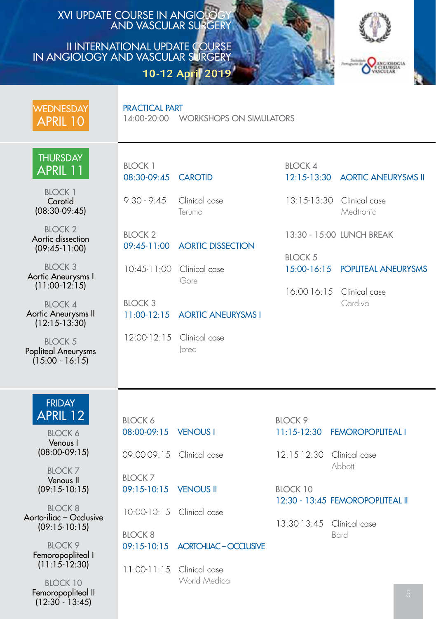II INTERNATIONAL UPDATE COURSE IN ANGIOLOGY AND VASCULAR SURGERY

10-12 April 2019



**WEDNESDAY** APRIL 10

PRACTICAL PART 14:00-20:00 WORKSHOPS ON SIMULATORS

**THURSDAY** APRIL 11

BLOCK 1 Carotid (08:30-09:45)

BLOCK 2 Aortic dissection (09:45-11:00)

BLOCK 3 Aortic Aneurysms I (11:00-12:15)

BLOCK 4 Aortic Aneurysms II (12:15-13:30)

BLOCK 5 Popliteal Aneurysms  $(15:00 - 16:15)$ 

#### BLOCK 1 08:30-09:45 CAROTID

9:30 - 9:45 Clinical case Terumo

BLOCK 2 09:45-11:00 AORTIC DISSECTION

10:45-11:00 Clinical case Gore

BLOCK 3 11:00-12:15 AORTIC ANEURYSMS I

12:00-12:15 Clinical case Jotec

BLOCK 4 12:15-13:30 AORTIC ANEURYSMS II 13:15-13:30 Clinical case Medtronic

13:30 - 15:00 LUNCH BREAK

#### BLOCK 5 15:00-16:15 POPLITEAL ANEURYSMS

16:00-16:15 Clinical case Cardiva

# FRIDAY APRIL 12

BLOCK 6 Venous I (08:00-09:15)

BLOCK 7 Venous II (09:15-10:15)

BLOCK 8 Aorto-iliac – Occlusive (09:15-10:15)

> BLOCK 9 Femoropopliteal I (11:15-12:30)

BLOCK 10 Femoropopliteal II (12:30 - 13:45)

BLOCK 6 08:00-09:15 VENOUS I

09:00-09:15 Clinical case

BLOCK 7 09:15-10:15 VENOUS II

10:00-10:15 Clinical case

#### BLOCK 8 09:15-10:15 AORTO-ILIAC – OCCLUSIVE

11:00-11:15 Clinical case World Medica

#### BLOCK 9 11:15-12:30 FEMOROPOPLITEAL I

12:15-12:30 Clinical case Abbott

BLOCK 10 12:30 - 13:45 FEMOROPOPLITEAL II

13:30-13:45 Clinical case Bard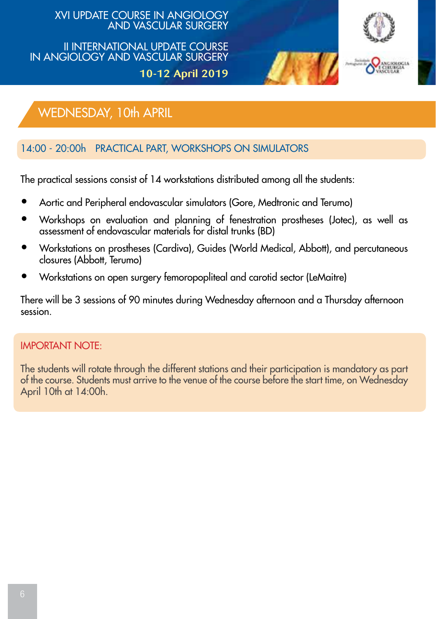II INTERNATIONAL UPDATE COURSE IN ANGIOLOGY AND VASCULAR SURGERY 10-12 April 2019



# WEDNESDAY, 10th APRIL

## 14:00 - 20:00h PRACTICAL PART, WORKSHOPS ON SIMULATORS

The practical sessions consist of 14 workstations distributed among all the students:

- Aortic and Peripheral endovascular simulators (Gore, Medtronic and Terumo)
- Workshops on evaluation and planning of fenestration prostheses (Jotec), as well as assessment of endovascular materials for distal trunks (BD)
- Workstations on prostheses (Cardiva), Guides (World Medical, Abbott), and percutaneous closures (Abbott, Terumo)
- Workstations on open surgery femoropopliteal and carotid sector (LeMaitre)

There will be 3 sessions of 90 minutes during Wednesday afternoon and a Thursday afternoon session.

### IMPORTANT NOTE:

The students will rotate through the different stations and their participation is mandatory as part of the course. Students must arrive to the venue of the course before the start time, on Wednesday April 10th at 14:00h.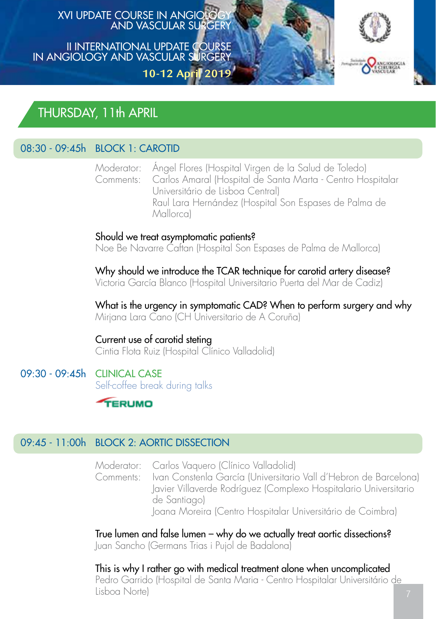**XVI UPDATE COURSE IN ANGIOLO** 

AND VASCULAR SURGERY



# THURSDAY, 11th APRIL

## 08:30 - 09:45h BLOCK 1: CAROTID

Moderator: Ángel Flores (Hospital Virgen de la Salud de Toledo) Comments: Carlos Amaral (Hospital de Santa Marta - Centro Hospitalar Universitário de Lisboa Central) Raul Lara Hernández (Hospital Son Espases de Palma de Mallorca)

Should we treat asymptomatic patients?

Noe Be Navarre Caftan (Hospital Son Espases de Palma de Mallorca)

Why should we introduce the TCAR technique for carotid artery disease? Victoria García Blanco (Hospital Universitario Puerta del Mar de Cadiz)

What is the urgency in symptomatic CAD? When to perform surgery and why Mirjana Lara Cano (CH Universitario de A Coruña)

Current use of carotid steting Cintia Flota Ruiz (Hospital Clínico Valladolid)

09:30 - 09:45h CLINICAL CASE Self-coffee break during talks



# 09:45 - 11:00h BLOCK 2: AORTIC DISSECTION

Moderator: Carlos Vaquero (Clínico Valladolid) Comments: Ivan Constenla García (Universitario Vall d'Hebron de Barcelona) Javier Villaverde Rodríguez (Complexo Hospitalario Universitario de Santiago) Joana Moreira (Centro Hospitalar Universitário de Coimbra)

True lumen and false lumen – why do we actually treat aortic dissections? Juan Sancho (Germans Trias i Pujol de Badalona)

This is why I rather go with medical treatment alone when uncomplicated Pedro Garrido (Hospital de Santa Maria - Centro Hospitalar Universitário de Lisboa Norte) 7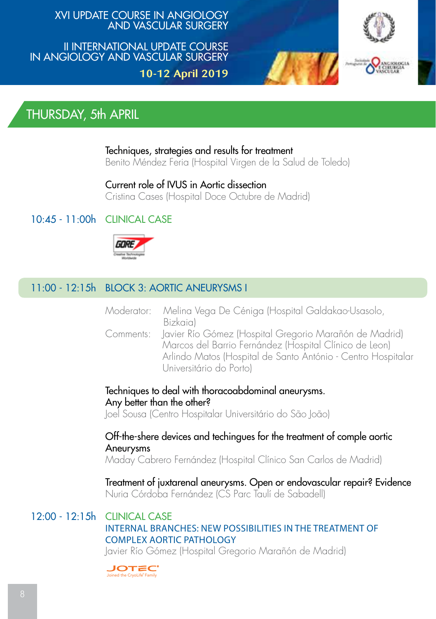II INTERNATIONAL UPDATE COURSE IN ANGIOLOGY AND VASCULAR SURGERY

10-12 April 2019



# THURSDAY, 5th APRIL

#### Techniques, strategies and results for treatment

Benito Méndez Feria (Hospital Virgen de la Salud de Toledo)

#### Current role of IVUS in Aortic dissection

Cristina Cases (Hospital Doce Octubre de Madrid)

## 10:45 - 11:00h CLINICAL CASE



## 11:00 - 12:15h BLOCK 3: AORTIC ANEURYSMS I

Moderator: Melina Vega De Céniga (Hospital Galdakao-Usasolo, Bizkaia) Comments: Javier Río Gómez (Hospital Gregorio Marañón de Madrid) Marcos del Barrio Fernández (Hospital Clínico de Leon) Arlindo Matos (Hospital de Santo António - Centro Hospitalar Universitário do Porto)

#### Techniques to deal with thoracoabdominal aneurysms. Any better than the other?

Joel Sousa (Centro Hospitalar Universitário do São João)

#### Off-the-shere devices and techingues for the treatment of comple aortic Aneurysms

Maday Cabrero Fernández (Hospital Clínico San Carlos de Madrid)

Treatment of juxtarenal aneurysms. Open or endovascular repair? Evidence Nuria Córdoba Fernández (CS Parc Taulí de Sabadell)

# 12:00 - 12:15h CLINICAL CASE INTERNAL BRANCHES: NEW POSSIBILITIES IN THE TREATMENT OF COMPLEX AORTIC PATHOLOGY

Javier Río Gómez (Hospital Gregorio Marañón de Madrid)

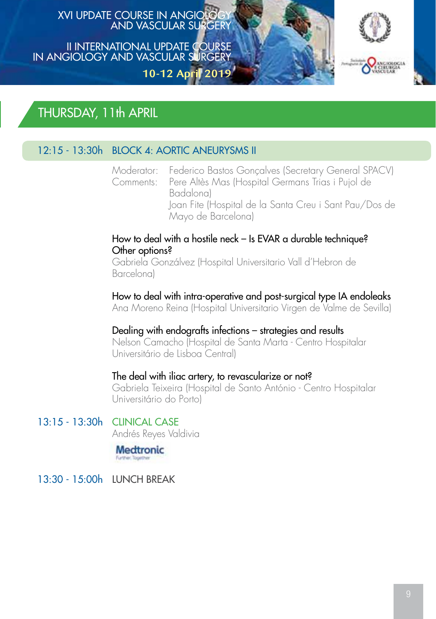XVI UPDATE COURSE IN ANGIOLO

AND VASCULAR SURGERY



# THURSDAY, 11th APRIL

## 12:15 - 13:30h BLOCK 4: AORTIC ANEURYSMS II

Moderator: Federico Bastos Gonçalves (Secretary General SPACV) Comments: Pere Altès Mas (Hospital Germans Trias i Pujol de Badalona) Joan Fite (Hospital de la Santa Creu i Sant Pau/Dos de Mayo de Barcelona)

#### How to deal with a hostile neck – Is EVAR a durable technique? Other options?

Gabriela Gonzálvez (Hospital Universitario Vall d'Hebron de Barcelona)

How to deal with intra-operative and post-surgical type IA endoleaks Ana Moreno Reina (Hospital Universitario Virgen de Valme de Sevilla)

#### Dealing with endografts infections – strategies and results

Nelson Camacho (Hospital de Santa Marta - Centro Hospitalar Universitário de Lisboa Central)

#### The deal with iliac artery, to revascularize or not?

Gabriela Teixeira (Hospital de Santo António - Centro Hospitalar Universitário do Porto)

#### 13:15 - 13:30h CLINICAL CASE

Andrés Reyes Valdivia

# **Medtronic**

13:30 - 15:00h LUNCH BREAK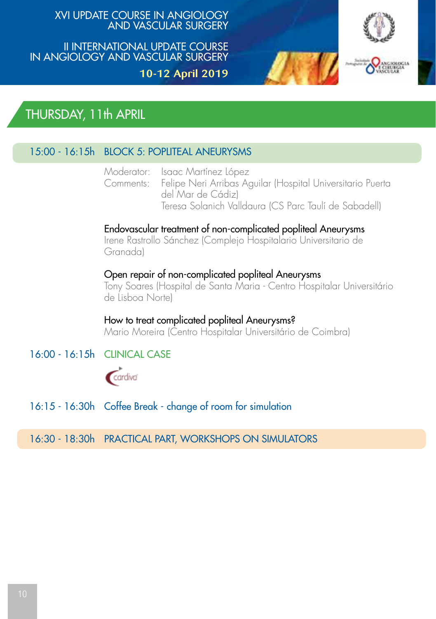II INTERNATIONAL UPDATE COURSE IN ANGIOLOGY AND VASCULAR SURGERY

10-12 April 2019



# THURSDAY, 11th APRIL

# 15:00 - 16:15h BLOCK 5: POPLITEAL ANEURYSMS

Moderator: Isaac Martínez López Comments: Felipe Neri Arribas Aguilar (Hospital Universitario Puerta del Mar de Cádiz) Teresa Solanich Valldaura (CS Parc Taulí de Sabadell)

#### Endovascular treatment of non-complicated popliteal Aneurysms

Irene Rastrollo Sánchez (Complejo Hospitalario Universitario de Granada)

Open repair of non-complicated popliteal Aneurysms Tony Soares (Hospital de Santa Maria - Centro Hospitalar Universitário de Lisboa Norte)

#### How to treat complicated popliteal Aneurysms?

Mario Moreira (Centro Hospitalar Universitário de Coimbra)

### 16:00 - 16:15h CLINICAL CASE



16:15 - 16:30h Coffee Break - change of room for simulation

16:30 - 18:30h PRACTICAL PART, WORKSHOPS ON SIMULATORS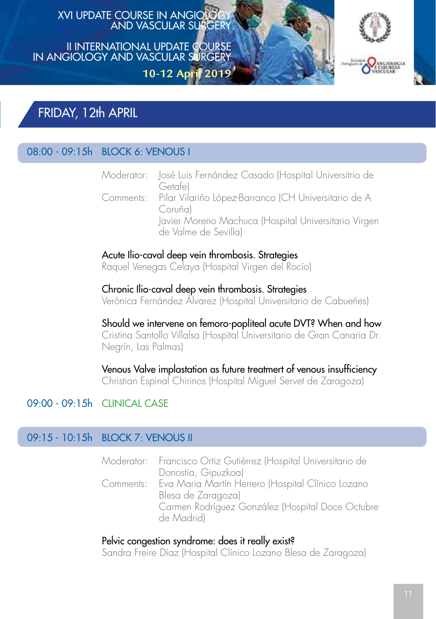XVI UPDATE COURSE IN ANGIOLO

AND VASCULAR SURGERY



# FRIDAY, 12th APRIL

# 08:00 - 09:15h BLOCK 6: VENOUS I

Moderator: José Luis Fernández Casado (Hospital Universitrio de Getafe) Comments: Pilar Vilariño López-Barranco (CH Universitario de A Coruña) Javier Moreno Machuca (Hospital Universitario Virgen de Valme de Sevilla)

Acute Ilio-caval deep vein thrombosis. Strategies

Raquel Venegas Celaya (Hospital Virgen del Rocío)

Chronic Ilio-caval deep vein thrombosis. Strategies Verónica Fernández Álvarez (Hospital Universitario de Cabueñes)

Should we intervene on femoro-popliteal acute DVT? When and how Cristina Santollo Villalsa (Hospital Universitario de Gran Canaria Dr. Negrín, Las Palmas)

Venous Valve implastation as future treatmert of venous insufficiency Christian Espinal Chirinos (Hospital Miguel Servet de Zaragoza)

# 09:00 - 09:15h CLINICAL CASE

### 09:15 - 10:15h BLOCK 7: VENOUS II

Moderator: Francisco Ortiz Gutiérrez (Hospital Universitario de Donostia, Gipuzkoa) Comments: Eva Maria Martín Herrero (Hospital Clínico Lozano Blesa de Zaragoza) Carmen Rodríguez González (Hospital Doce Octubre de Madrid)

Pelvic congestion syndrome: does it really exist? Sandra Freire Díaz (Hospital Clínico Lozano Blesa de Zaragoza)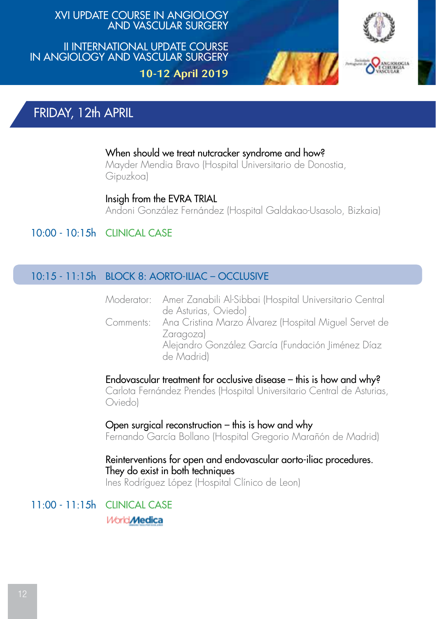II INTERNATIONAL UPDATE COURSE IN ANGIOLOGY AND VASCULAR SURGERY 10-12 April 2019



# FRIDAY, 12th APRIL

#### When should we treat nutcracker syndrome and how?

Mayder Mendia Bravo (Hospital Universitario de Donostia, Gipuzkoa)

#### Insigh from the EVRA TRIAL

Andoni González Fernández (Hospital Galdakao-Usasolo, Bizkaia)

## 10:00 - 10:15h CLINICAL CASE

## 10:15 - 11:15h BLOCK 8: AORTO-ILIAC – OCCLUSIVE

| Moderator: Amer Zanabili Al-Sibbai (Hospital Universitario Central<br>de Asturias, Oviedo) |
|--------------------------------------------------------------------------------------------|
| Comments: Ana Cristina Marzo Álvarez (Hospital Miguel Servet de                            |
| Zaragoza)<br>Alejandro González García (Fundación Jiménez Díaz<br>de Madrid)               |
|                                                                                            |

Endovascular treatment for occlusive disease – this is how and why? Carlota Fernández Prendes (Hospital Universitario Central de Asturias, Oviedo)

# Open surgical reconstruction – this is how and why

Fernando García Bollano (Hospital Gregorio Marañón de Madrid)

#### Reinterventions for open and endovascular aorto-iliac procedures. They do exist in both techniques Ines Rodríguez López (Hospital Clínico de Leon)

11:00 - 11:15h CLINICAL CASE **World Medica**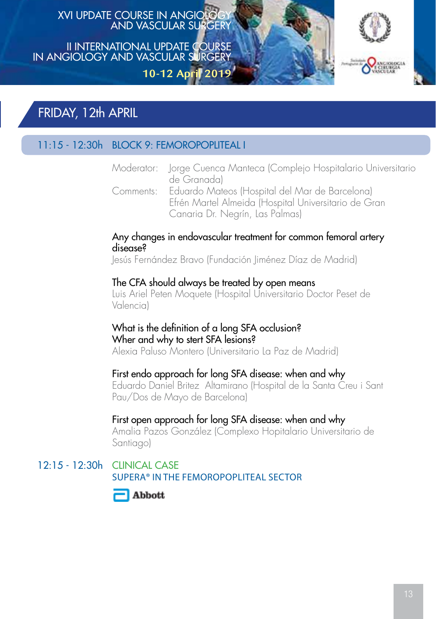**XVI UPDATE COURSE IN ANGIOLO** 

AND VASCULAR SURGERY



# FRIDAY, 12th APRIL

## 11:15 - 12:30h BLOCK 9: FEMOROPOPLITEAL I

Moderator: Jorge Cuenca Manteca (Complejo Hospitalario Universitario de Granada) Comments: Eduardo Mateos (Hospital del Mar de Barcelona) Efrén Martel Almeida (Hospital Universitario de Gran Canaria Dr. Negrín, Las Palmas)

#### Any changes in endovascular treatment for common femoral artery disease?

Jesús Fernández Bravo (Fundación Jiménez Díaz de Madrid)

#### The CFA should always be treated by open means

Luis Ariel Peten Moquete (Hospital Universitario Doctor Peset de Valencia)

#### What is the definition of a long SFA occlusion? Wher and why to stert SFA lesions?

Alexia Paluso Montero (Universitario La Paz de Madrid)

### First endo approach for long SFA disease: when and why

Eduardo Daniel Britez Altamirano (Hospital de la Santa Creu i Sant Pau/Dos de Mayo de Barcelona)

#### First open approach for long SFA disease: when and why

Amalia Pazos González (Complexo Hopitalario Universitario de Santiago)

### 12:15 - 12:30h CLINICAL CASE SUPERA® IN THE FEMOROPOPLITEAL SECTOR

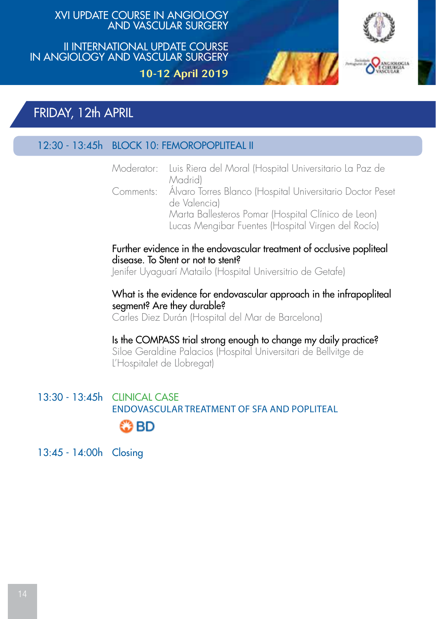II INTERNATIONAL UPDATE COURSE IN ANGIOLOGY AND VASCULAR SURGERY

10-12 April 2019



# FRIDAY, 12th APRIL

## 12:30 - 13:45h BLOCK 10: FEMOROPOPLITEAL II

Moderator: Luis Riera del Moral (Hospital Universitario La Paz de Madrid)<br>Comments: Álvaro To Álvaro Torres Blanco (Hospital Universitario Doctor Peset de Valencia) Marta Ballesteros Pomar (Hospital Clínico de Leon) Lucas Mengibar Fuentes (Hospital Virgen del Rocío)

# Further evidence in the endovascular treatment of occlusive popliteal disease. To Stent or not to stent?

Jenifer Uyaguarí Matailo (Hospital Universitrio de Getafe)

# What is the evidence for endovascular approach in the infrapopliteal segment? Are they durable?

Carles Diez Durán (Hospital del Mar de Barcelona)

Is the COMPASS trial strong enough to change my daily practice? Siloe Geraldine Palacios (Hospital Universitari de Bellvitge de L'Hospitalet de Llobregat)

# 13:30 - 13:45h CLINICAL CASE ENDOVASCULAR TREATMENT OF SFA AND POPLITEAL **BD**

13:45 - 14:00h Closing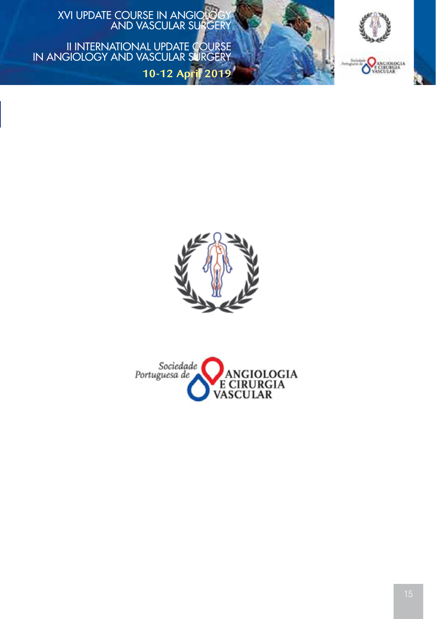

II INTERNATIONAL UPDATE COURSE IN ANGIOLOGY AND VASCULAR SURGERY

10-12 April 2019



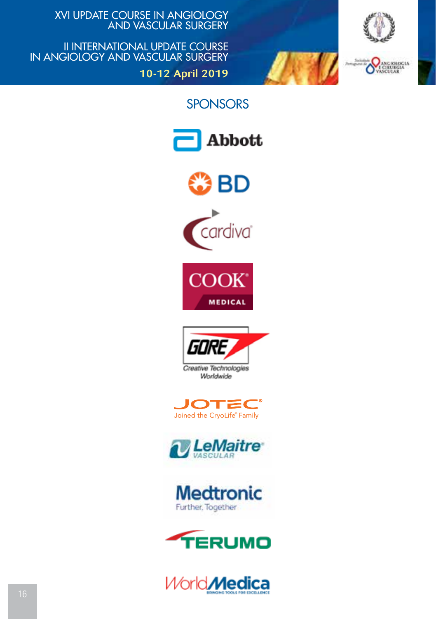

II INTERNATIONAL UPDATE COURSE IN ANGIOLOGY AND VASCULAR SURGERY

10-12 April 2019

**SPONSORS**